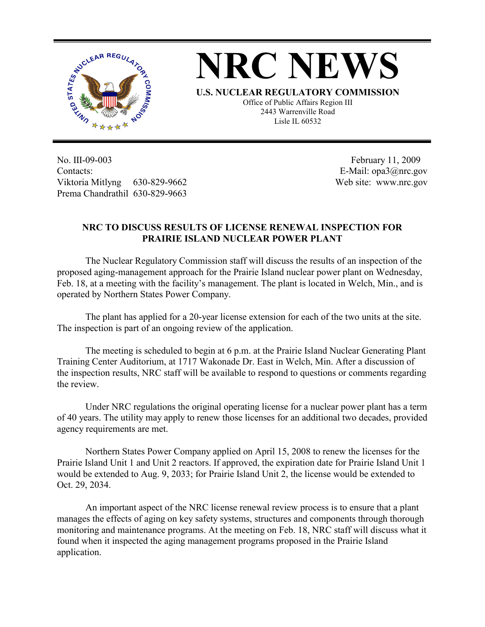



**U.S. NUCLEAR REGULATORY COMMISSION**

Office of Public Affairs Region III 2443 Warrenville Road Lisle IL 60532

No. III-09-003 Contacts: Viktoria Mitlyng 630-829-9662 Prema Chandrathil 630-829-9663

 February 11, 2009 E-Mail: opa3@nrc.gov Web site: www.nrc.gov

## **NRC TO DISCUSS RESULTS OF LICENSE RENEWAL INSPECTION FOR PRAIRIE ISLAND NUCLEAR POWER PLANT**

 The Nuclear Regulatory Commission staff will discuss the results of an inspection of the proposed aging-management approach for the Prairie Island nuclear power plant on Wednesday, Feb. 18, at a meeting with the facility's management. The plant is located in Welch, Min., and is operated by Northern States Power Company.

 The plant has applied for a 20-year license extension for each of the two units at the site. The inspection is part of an ongoing review of the application.

The meeting is scheduled to begin at 6 p.m. at the Prairie Island Nuclear Generating Plant Training Center Auditorium, at 1717 Wakonade Dr. East in Welch, Min. After a discussion of the inspection results, NRC staff will be available to respond to questions or comments regarding the review.

 Under NRC regulations the original operating license for a nuclear power plant has a term of 40 years. The utility may apply to renew those licenses for an additional two decades, provided agency requirements are met.

 Northern States Power Company applied on April 15, 2008 to renew the licenses for the Prairie Island Unit 1 and Unit 2 reactors. If approved, the expiration date for Prairie Island Unit 1 would be extended to Aug. 9, 2033; for Prairie Island Unit 2, the license would be extended to Oct. 29, 2034.

An important aspect of the NRC license renewal review process is to ensure that a plant manages the effects of aging on key safety systems, structures and components through thorough monitoring and maintenance programs. At the meeting on Feb. 18, NRC staff will discuss what it found when it inspected the aging management programs proposed in the Prairie Island application.